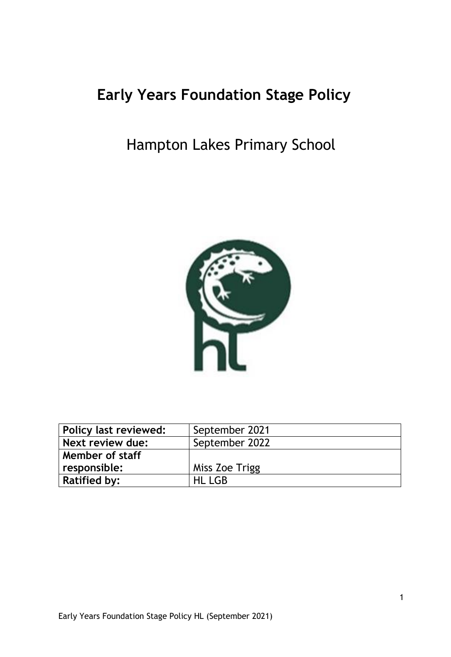# **Early Years Foundation Stage Policy**

## Hampton Lakes Primary School



| <b>Policy last reviewed:</b> | September 2021 |
|------------------------------|----------------|
| Next review due:             | September 2022 |
| Member of staff              |                |
| responsible:                 | Miss Zoe Trigg |
| <b>Ratified by:</b>          | <b>HL LGB</b>  |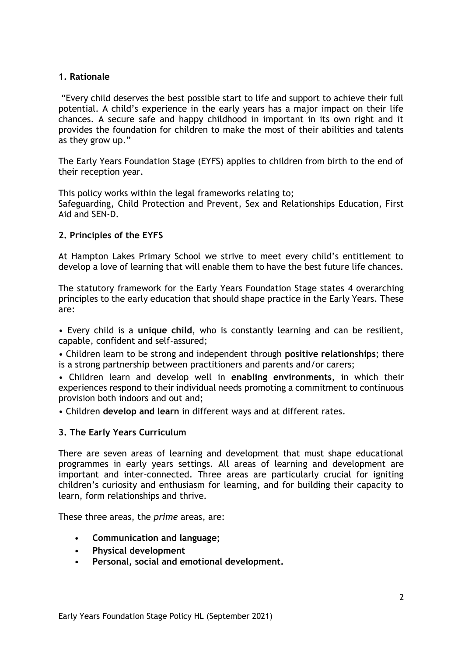#### **1. Rationale**

"Every child deserves the best possible start to life and support to achieve their full potential. A child's experience in the early years has a major impact on their life chances. A secure safe and happy childhood in important in its own right and it provides the foundation for children to make the most of their abilities and talents as they grow up."

The Early Years Foundation Stage (EYFS) applies to children from birth to the end of their reception year.

This policy works within the legal frameworks relating to; Safeguarding, Child Protection and Prevent, Sex and Relationships Education, First Aid and SEN-D.

#### **2. Principles of the EYFS**

At Hampton Lakes Primary School we strive to meet every child's entitlement to develop a love of learning that will enable them to have the best future life chances.

The statutory framework for the Early Years Foundation Stage states 4 overarching principles to the early education that should shape practice in the Early Years. These are:

• Every child is a **unique child**, who is constantly learning and can be resilient, capable, confident and self-assured;

• Children learn to be strong and independent through **positive relationships**; there is a strong partnership between practitioners and parents and/or carers;

• Children learn and develop well in **enabling environments**, in which their experiences respond to their individual needs promoting a commitment to continuous provision both indoors and out and;

• Children **develop and learn** in different ways and at different rates.

#### **3. The Early Years Curriculum**

There are seven areas of learning and development that must shape educational programmes in early years settings. All areas of learning and development are important and inter-connected. Three areas are particularly crucial for igniting children's curiosity and enthusiasm for learning, and for building their capacity to learn, form relationships and thrive.

These three areas, the *prime* areas, are:

- **Communication and language;**
- **Physical development**
- **Personal, social and emotional development.**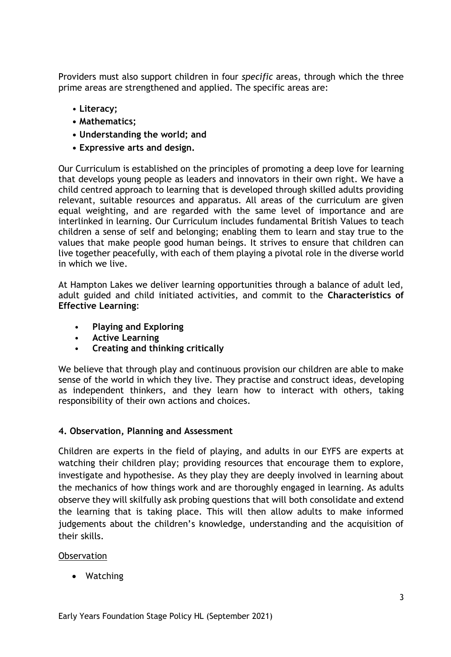Providers must also support children in four *specific* areas, through which the three prime areas are strengthened and applied. The specific areas are:

- **Literacy;**
- **Mathematics;**
- **Understanding the world; and**
- **Expressive arts and design.**

Our Curriculum is established on the principles of promoting a deep love for learning that develops young people as leaders and innovators in their own right. We have a child centred approach to learning that is developed through skilled adults providing relevant, suitable resources and apparatus. All areas of the curriculum are given equal weighting, and are regarded with the same level of importance and are interlinked in learning. Our Curriculum includes fundamental British Values to teach children a sense of self and belonging; enabling them to learn and stay true to the values that make people good human beings. It strives to ensure that children can live together peacefully, with each of them playing a pivotal role in the diverse world in which we live.

At Hampton Lakes we deliver learning opportunities through a balance of adult led, adult guided and child initiated activities, and commit to the **Characteristics of Effective Learning**:

- **Playing and Exploring**
- **Active Learning**
- **Creating and thinking critically**

We believe that through play and continuous provision our children are able to make sense of the world in which they live. They practise and construct ideas, developing as independent thinkers, and they learn how to interact with others, taking responsibility of their own actions and choices.

#### **4. Observation, Planning and Assessment**

Children are experts in the field of playing, and adults in our EYFS are experts at watching their children play; providing resources that encourage them to explore, investigate and hypothesise. As they play they are deeply involved in learning about the mechanics of how things work and are thoroughly engaged in learning. As adults observe they will skilfully ask probing questions that will both consolidate and extend the learning that is taking place. This will then allow adults to make informed judgements about the children's knowledge, understanding and the acquisition of their skills.

#### **Observation**

• Watching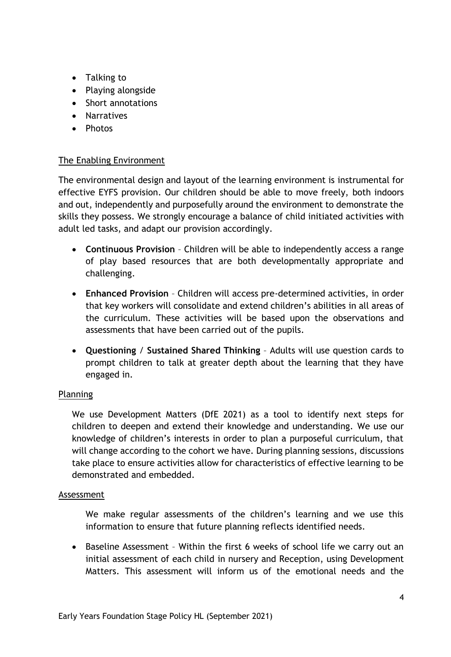- Talking to
- Playing alongside
- Short annotations
- Narratives
- Photos

### The Enabling Environment

The environmental design and layout of the learning environment is instrumental for effective EYFS provision. Our children should be able to move freely, both indoors and out, independently and purposefully around the environment to demonstrate the skills they possess. We strongly encourage a balance of child initiated activities with adult led tasks, and adapt our provision accordingly.

- **Continuous Provision** Children will be able to independently access a range of play based resources that are both developmentally appropriate and challenging.
- **Enhanced Provision** Children will access pre-determined activities, in order that key workers will consolidate and extend children's abilities in all areas of the curriculum. These activities will be based upon the observations and assessments that have been carried out of the pupils.
- **Questioning** / **Sustained Shared Thinking** Adults will use question cards to prompt children to talk at greater depth about the learning that they have engaged in.

#### Planning

We use Development Matters (DfE 2021) as a tool to identify next steps for children to deepen and extend their knowledge and understanding. We use our knowledge of children's interests in order to plan a purposeful curriculum, that will change according to the cohort we have. During planning sessions, discussions take place to ensure activities allow for characteristics of effective learning to be demonstrated and embedded.

#### Assessment

We make regular assessments of the children's learning and we use this information to ensure that future planning reflects identified needs.

• Baseline Assessment – Within the first 6 weeks of school life we carry out an initial assessment of each child in nursery and Reception, using Development Matters. This assessment will inform us of the emotional needs and the